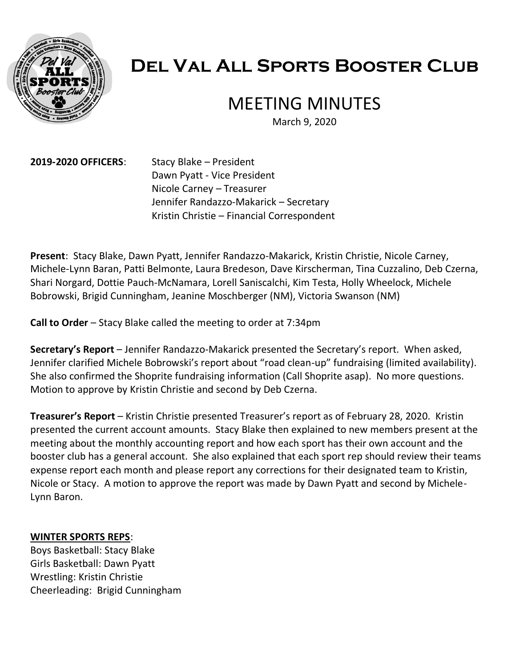

# **Del Val All Sports Booster Club**

# MEETING MINUTES

March 9, 2020

**2019-2020 OFFICERS**: Stacy Blake – President Dawn Pyatt - Vice President Nicole Carney – Treasurer Jennifer Randazzo-Makarick – Secretary Kristin Christie – Financial Correspondent

**Present**: Stacy Blake, Dawn Pyatt, Jennifer Randazzo-Makarick, Kristin Christie, Nicole Carney, Michele-Lynn Baran, Patti Belmonte, Laura Bredeson, Dave Kirscherman, Tina Cuzzalino, Deb Czerna, Shari Norgard, Dottie Pauch-McNamara, Lorell Saniscalchi, Kim Testa, Holly Wheelock, Michele Bobrowski, Brigid Cunningham, Jeanine Moschberger (NM), Victoria Swanson (NM)

**Call to Order** – Stacy Blake called the meeting to order at 7:34pm

**Secretary's Report** – Jennifer Randazzo-Makarick presented the Secretary's report. When asked, Jennifer clarified Michele Bobrowski's report about "road clean-up" fundraising (limited availability). She also confirmed the Shoprite fundraising information (Call Shoprite asap). No more questions. Motion to approve by Kristin Christie and second by Deb Czerna.

**Treasurer's Report** – Kristin Christie presented Treasurer's report as of February 28, 2020. Kristin presented the current account amounts. Stacy Blake then explained to new members present at the meeting about the monthly accounting report and how each sport has their own account and the booster club has a general account. She also explained that each sport rep should review their teams expense report each month and please report any corrections for their designated team to Kristin, Nicole or Stacy. A motion to approve the report was made by Dawn Pyatt and second by Michele-Lynn Baron.

# **WINTER SPORTS REPS**:

Boys Basketball: Stacy Blake Girls Basketball: Dawn Pyatt Wrestling: Kristin Christie Cheerleading: Brigid Cunningham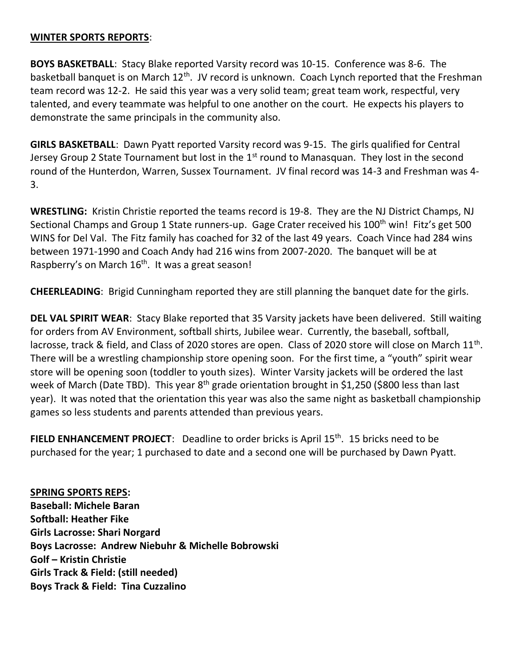### **WINTER SPORTS REPORTS**:

**BOYS BASKETBALL**: Stacy Blake reported Varsity record was 10-15. Conference was 8-6. The basketball banquet is on March 12<sup>th</sup>. JV record is unknown. Coach Lynch reported that the Freshman team record was 12-2. He said this year was a very solid team; great team work, respectful, very talented, and every teammate was helpful to one another on the court. He expects his players to demonstrate the same principals in the community also.

**GIRLS BASKETBALL**: Dawn Pyatt reported Varsity record was 9-15. The girls qualified for Central Jersey Group 2 State Tournament but lost in the  $1<sup>st</sup>$  round to Manasquan. They lost in the second round of the Hunterdon, Warren, Sussex Tournament. JV final record was 14-3 and Freshman was 4- 3.

**WRESTLING:** Kristin Christie reported the teams record is 19-8. They are the NJ District Champs, NJ Sectional Champs and Group 1 State runners-up. Gage Crater received his 100<sup>th</sup> win! Fitz's get 500 WINS for Del Val. The Fitz family has coached for 32 of the last 49 years. Coach Vince had 284 wins between 1971-1990 and Coach Andy had 216 wins from 2007-2020. The banquet will be at Raspberry's on March 16<sup>th</sup>. It was a great season!

**CHEERLEADING**: Brigid Cunningham reported they are still planning the banquet date for the girls.

**DEL VAL SPIRIT WEAR**: Stacy Blake reported that 35 Varsity jackets have been delivered. Still waiting for orders from AV Environment, softball shirts, Jubilee wear. Currently, the baseball, softball, lacrosse, track & field, and Class of 2020 stores are open. Class of 2020 store will close on March 11<sup>th</sup>. There will be a wrestling championship store opening soon. For the first time, a "youth" spirit wear store will be opening soon (toddler to youth sizes). Winter Varsity jackets will be ordered the last week of March (Date TBD). This year 8<sup>th</sup> grade orientation brought in \$1,250 (\$800 less than last year). It was noted that the orientation this year was also the same night as basketball championship games so less students and parents attended than previous years.

**FIELD ENHANCEMENT PROJECT:** Deadline to order bricks is April 15<sup>th</sup>. 15 bricks need to be purchased for the year; 1 purchased to date and a second one will be purchased by Dawn Pyatt.

**SPRING SPORTS REPS: Baseball: Michele Baran Softball: Heather Fike Girls Lacrosse: Shari Norgard Boys Lacrosse: Andrew Niebuhr & Michelle Bobrowski Golf – Kristin Christie Girls Track & Field: (still needed) Boys Track & Field: Tina Cuzzalino**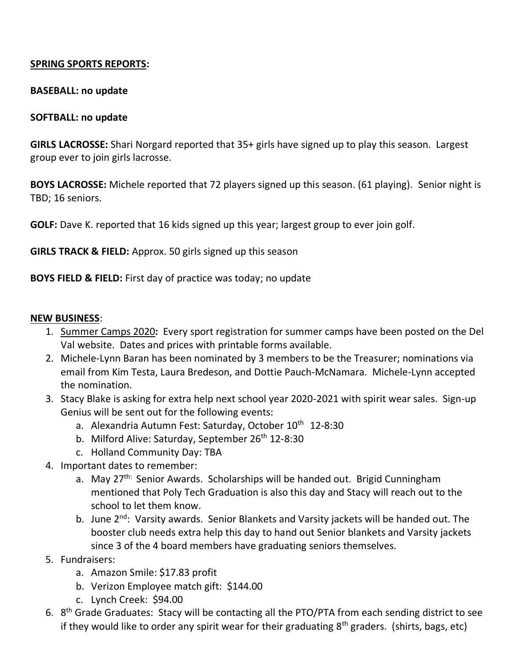# **SPRING SPORTS REPORTS:**

#### **BASEBALL: no update**

#### **SOFTBALL: no update**

**GIRLS LACROSSE:** Shari Norgard reported that 35+ girls have signed up to play this season. Largest group ever to join girls lacrosse.

**BOYS LACROSSE:** Michele reported that 72 players signed up this season. (61 playing). Senior night is TBD; 16 seniors.

**GOLF:** Dave K. reported that 16 kids signed up this year; largest group to ever join golf.

**GIRLS TRACK & FIELD:** Approx. 50 girls signed up this season

**BOYS FIELD & FIELD:** First day of practice was today; no update

#### **NEW BUSINESS**:

- 1. Summer Camps 2020**:** Every sport registration for summer camps have been posted on the Del Val website. Dates and prices with printable forms available.
- 2. Michele-Lynn Baran has been nominated by 3 members to be the Treasurer; nominations via email from Kim Testa, Laura Bredeson, and Dottie Pauch-McNamara. Michele-Lynn accepted the nomination.
- 3. Stacy Blake is asking for extra help next school year 2020-2021 with spirit wear sales. Sign-up Genius will be sent out for the following events:
	- a. Alexandria Autumn Fest: Saturday, October 10<sup>th</sup> 12-8:30
	- b. Milford Alive: Saturday, September 26<sup>th</sup> 12-8:30
	- c. Holland Community Day: TBA
- 4. Important dates to remember:
	- a. May 27<sup>th:</sup> Senior Awards. Scholarships will be handed out. Brigid Cunningham mentioned that Poly Tech Graduation is also this day and Stacy will reach out to the school to let them know.
	- b. June 2<sup>nd</sup>: Varsity awards. Senior Blankets and Varsity jackets will be handed out. The booster club needs extra help this day to hand out Senior blankets and Varsity jackets since 3 of the 4 board members have graduating seniors themselves.
- 5. Fundraisers:
	- a. Amazon Smile: \$17.83 profit
	- b. Verizon Employee match gift: \$144.00
	- c. Lynch Creek: \$94.00
- 6. 8<sup>th</sup> Grade Graduates: Stacy will be contacting all the PTO/PTA from each sending district to see if they would like to order any spirit wear for their graduating  $8<sup>th</sup>$  graders. (shirts, bags, etc)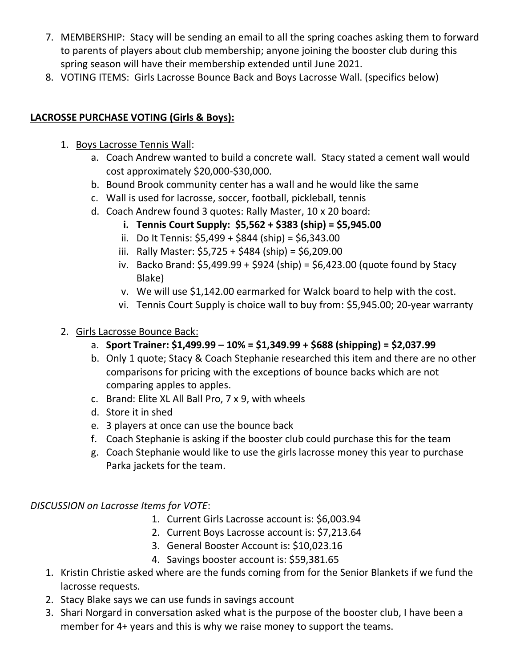- 7. MEMBERSHIP: Stacy will be sending an email to all the spring coaches asking them to forward to parents of players about club membership; anyone joining the booster club during this spring season will have their membership extended until June 2021.
- 8. VOTING ITEMS: Girls Lacrosse Bounce Back and Boys Lacrosse Wall. (specifics below)

# **LACROSSE PURCHASE VOTING (Girls & Boys):**

- 1. Boys Lacrosse Tennis Wall:
	- a. Coach Andrew wanted to build a concrete wall. Stacy stated a cement wall would cost approximately \$20,000-\$30,000.
	- b. Bound Brook community center has a wall and he would like the same
	- c. Wall is used for lacrosse, soccer, football, pickleball, tennis
	- d. Coach Andrew found 3 quotes: Rally Master, 10 x 20 board:
		- **i. Tennis Court Supply: \$5,562 + \$383 (ship) = \$5,945.00**
		- ii. Do It Tennis:  $$5,499 + $844$  (ship) =  $$6,343.00$
		- iii. Rally Master: \$5,725 + \$484 (ship) = \$6,209.00
		- iv. Backo Brand: \$5,499.99 + \$924 (ship) = \$6,423.00 (quote found by Stacy Blake)
		- v. We will use \$1,142.00 earmarked for Walck board to help with the cost.
		- vi. Tennis Court Supply is choice wall to buy from: \$5,945.00; 20-year warranty
- 2. Girls Lacrosse Bounce Back:
	- a. **Sport Trainer: \$1,499.99 – 10% = \$1,349.99 + \$688 (shipping) = \$2,037.99**
	- b. Only 1 quote; Stacy & Coach Stephanie researched this item and there are no other comparisons for pricing with the exceptions of bounce backs which are not comparing apples to apples.
	- c. Brand: Elite XL All Ball Pro, 7 x 9, with wheels
	- d. Store it in shed
	- e. 3 players at once can use the bounce back
	- f. Coach Stephanie is asking if the booster club could purchase this for the team
	- g. Coach Stephanie would like to use the girls lacrosse money this year to purchase Parka jackets for the team.

*DISCUSSION on Lacrosse Items for VOTE*:

- 1. Current Girls Lacrosse account is: \$6,003.94
- 2. Current Boys Lacrosse account is: \$7,213.64
- 3. General Booster Account is: \$10,023.16
- 4. Savings booster account is: \$59,381.65
- 1. Kristin Christie asked where are the funds coming from for the Senior Blankets if we fund the lacrosse requests.
- 2. Stacy Blake says we can use funds in savings account
- 3. Shari Norgard in conversation asked what is the purpose of the booster club, I have been a member for 4+ years and this is why we raise money to support the teams.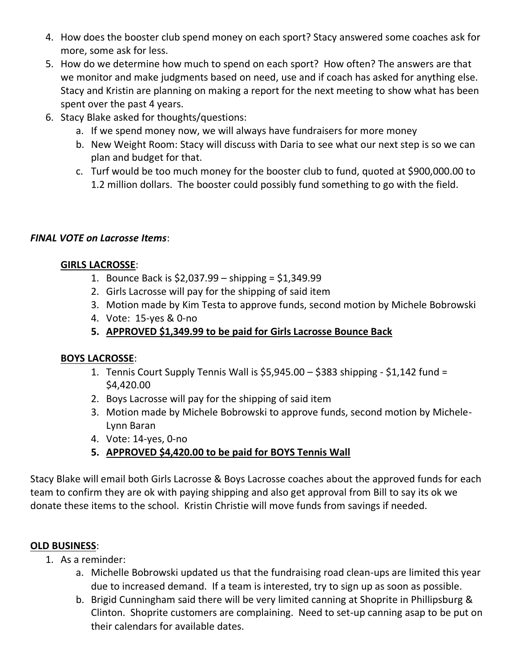- 4. How does the booster club spend money on each sport? Stacy answered some coaches ask for more, some ask for less.
- 5. How do we determine how much to spend on each sport? How often? The answers are that we monitor and make judgments based on need, use and if coach has asked for anything else. Stacy and Kristin are planning on making a report for the next meeting to show what has been spent over the past 4 years.
- 6. Stacy Blake asked for thoughts/questions:
	- a. If we spend money now, we will always have fundraisers for more money
	- b. New Weight Room: Stacy will discuss with Daria to see what our next step is so we can plan and budget for that.
	- c. Turf would be too much money for the booster club to fund, quoted at \$900,000.00 to 1.2 million dollars. The booster could possibly fund something to go with the field.

# *FINAL VOTE on Lacrosse Items*:

# **GIRLS LACROSSE**:

- 1. Bounce Back is \$2,037.99 shipping = \$1,349.99
- 2. Girls Lacrosse will pay for the shipping of said item
- 3. Motion made by Kim Testa to approve funds, second motion by Michele Bobrowski
- 4. Vote: 15-yes & 0-no
- **5. APPROVED \$1,349.99 to be paid for Girls Lacrosse Bounce Back**

# **BOYS LACROSSE**:

- 1. Tennis Court Supply Tennis Wall is \$5,945.00 \$383 shipping \$1,142 fund = \$4,420.00
- 2. Boys Lacrosse will pay for the shipping of said item
- 3. Motion made by Michele Bobrowski to approve funds, second motion by Michele-Lynn Baran
- 4. Vote: 14-yes, 0-no
- **5. APPROVED \$4,420.00 to be paid for BOYS Tennis Wall**

Stacy Blake will email both Girls Lacrosse & Boys Lacrosse coaches about the approved funds for each team to confirm they are ok with paying shipping and also get approval from Bill to say its ok we donate these items to the school. Kristin Christie will move funds from savings if needed.

# **OLD BUSINESS**:

- 1. As a reminder:
	- a. Michelle Bobrowski updated us that the fundraising road clean-ups are limited this year due to increased demand. If a team is interested, try to sign up as soon as possible.
	- b. Brigid Cunningham said there will be very limited canning at Shoprite in Phillipsburg & Clinton. Shoprite customers are complaining. Need to set-up canning asap to be put on their calendars for available dates.